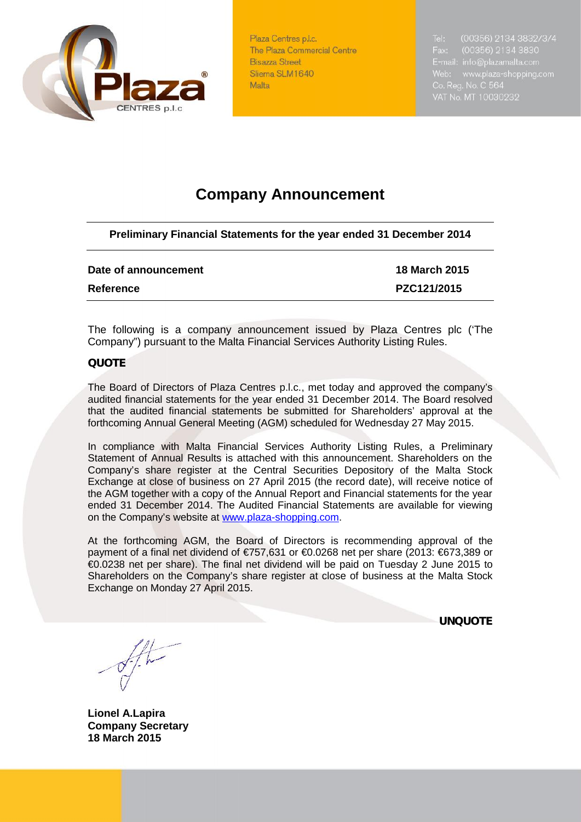

Plaza Centres p.l.c. The Plaza Commercial Centre **Bisazza Street** Sliema SLM1640 Malta

Tel: (00356) 2134 3832/3/4 VAT No. MT 10030232

# **Company Announcement**

**Preliminary Financial Statements for the year ended 31 December 2014**

### **Date of announcement 18 March 2015**

**Reference PZC121/2015**

The following is a company announcement issued by Plaza Centres plc ('The Company") pursuant to the Malta Financial Services Authority Listing Rules.

## *QUOTE*

The Board of Directors of Plaza Centres p.l.c., met today and approved the company's audited financial statements for the year ended 31 December 2014. The Board resolved that the audited financial statements be submitted for Shareholders' approval at the forthcoming Annual General Meeting (AGM) scheduled for Wednesday 27 May 2015.

In compliance with Malta Financial Services Authority Listing Rules, a Preliminary Statement of Annual Results is attached with this announcement. Shareholders on the Company's share register at the Central Securities Depository of the Malta Stock Exchange at close of business on 27 April 2015 (the record date), will receive notice of the AGM together with a copy of the Annual Report and Financial statements for the year ended 31 December 2014. The Audited Financial Statements are available for viewing on the Company's website at www.plaza-shopping.com.

At the forthcoming AGM, the Board of Directors is recommending approval of the payment of a final net dividend of €757,631 or €0.0268 net per share (2013: €673,389 or €0.0238 net per share). The final net dividend will be paid on Tuesday 2 June 2015 to Shareholders on the Company's share register at close of business at the Malta Stock Exchange on Monday 27 April 2015.

*UNQUOTE*

**Lionel A.Lapira Company Secretary 18 March 2015**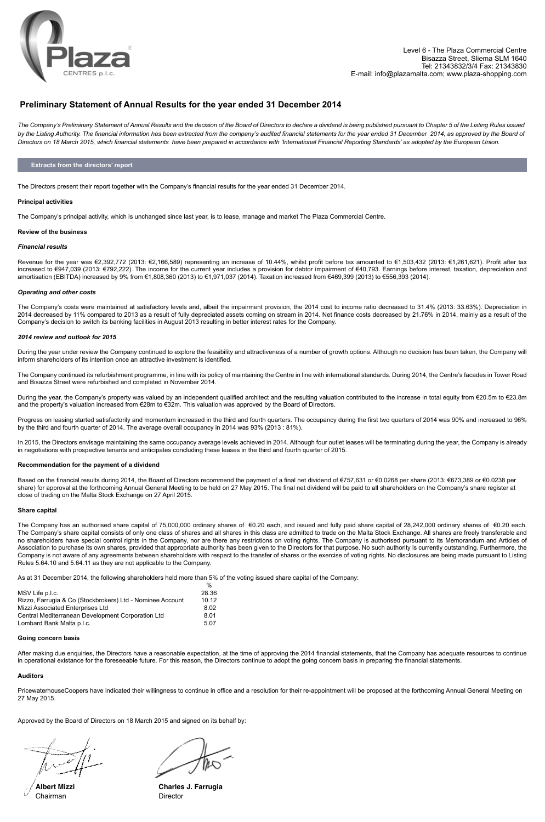

### **Preliminary Statement of Annual Results for the year ended 31 December 2014**

*The Company's Preliminary Statement of Annual Results and the decision of the Board of Directors to declare a dividend is being published pursuant to Chapter 5 of the Listing Rules issued*  by the Listing Authority. The financial information has been extracted from the company's audited financial statements for the year ended 31 December 2014, as approved by the Board of *Directors on 18 March 2015, which financial statements have been prepared in accordance with 'International Financial Reporting Standards' as adopted by the European Union.* 

#### **Extracts from the directors' report**

The Directors present their report together with the Company's financial results for the year ended 31 December 2014.

#### **Principal activities**

The Company's principal activity, which is unchanged since last year, is to lease, manage and market The Plaza Commercial Centre.

#### **Review of the business**

#### *Financial results*

Revenue for the year was €2,392,772 (2013: €2,166,589) representing an increase of 10.44%, whilst profit before tax amounted to €1,503,432 (2013: €1,261,621). Profit after tax r manciar resans<br>Revenue for the year was €2,392,772 (2013: €2,166,589) representing an increase of 10.44%, whilst profit before tax amounted to €1,503,432 (2013: €1,261,621). Profit after tax<br>increased to €947,039 (2013 amortisation (EBITDA) increased by 9% from €1,808,360 (2013) to €1,971,037 (2014). Taxation increased from €469,399 (2013) to €556,393 (2014).

#### *Operating and other costs*

The Company's costs were maintained at satisfactory levels and, albeit the impairment provision, the 2014 cost to income ratio decreased to 31.4% (2013: 33.63%). Depreciation in 2014 decreased by 11% compared to 2013 as a result of fully depreciated assets coming on stream in 2014. Net finance costs decreased by 21.76% in 2014, mainly as a result of the Company's decision to switch its banking facilities in August 2013 resulting in better interest rates for the Company.

#### *2014 review and outlook for 2015*

During the year under review the Company continued to explore the feasibility and attractiveness of a number of growth options. Although no decision has been taken, the Company will inform shareholders of its intention once an attractive investment is identified.<br> Notes **2012** 2011

The Company continued its refurbishment programme, in line with its policy of maintaining the Centre in line with international standards. During 2014, the Centre's facades in Tower Road **€** € **€** € and Bisazza Street were refurbished and completed in November 2014.

During the year, the Company's property was valued by an independent qualified architect and the resulting valuation contributed to the increase in total equity from €20.5m to €23.8m **Non-current assets** and the property's valuation increased from €28m to €32m. This valuation was approved by the Board of Directors.

Progress on leasing started satisfactorily and momentum increased in the third and fourth quarters. The occupancy during the first two quarters of 2014 was 90% and increased to 96% by the third and fourth quarter of 2014. The average overall occupancy in 2014 was 93% (2013 : 81%).

In 2015, the Directors envisage maintaining the same occupancy average levels achieved in 2014. Although four outlet leases will be terminating during the year, the Company is already In 1970, the Bhoothe emrease manufacturing the came occupatibly aroungle force activation in 2011, the third and fourth quarter of 2015.

### **Recommendation for the payment of a dividend**

Based on the financial results during 2014, the Board of Directors recommend the payment of a final net dividend of €757,631 or €0.0268 per share (2013: €673,389 or €0.0238 per share) for approval at the forthcoming Annual General Meeting to be held on 27 May 2015. The final net dividend will be paid to all shareholders on the Company's share register at close of trading on the Malta Stock Exchange on 27 April 2015.

#### **Share capital**  $S<sub>1</sub>$ Revaluation reserve 9 **10,475,579** 10,486,827 Share conital Revaluation reserve 9 **10,475,579** 10,486,827

The Company has an authorised share capital of 75,000,000 ordinary shares of €0.20 each, and issued and fully paid share capital of 28,242,000 ordinary shares of €0.20 each. The Company's share capital consists of only one class of shares and all shares in this class are admitted to trade on the Malta Stock Exchange. All shares are freely transferable and The Company's share capital consists of only one class of shares and all shares in this class are admitted to trade on the Malta Stock Exchange. All shares are freely transferable and<br>The Shareholders have special control Association to purchase its own shares, provided that appropriate authority has been given to the Directors for that purpose. No such authority is currently outstanding. Furthermore, the Company is not aware of any agreements between shareholders with respect to the transfer of shares or the exercise of voting rights. No disclosures are being made pursuant to Listing<br>Pulgs 5.64.10.20d 5.64.11.25 thou are n bompany is not award or any agreements between shareholders win rest<br>Rules 5.64.10 and 5.64.11 as they are not applicable to the Company. Borrowings 11 **2,532,703** 2,807,872 Borrowings 11 **2,532,703** 2,807,872

As at 31 December 2014, the following shareholders held more than 5% of the voting issued share capital of the Company:

| MSV Life p.l.c.                                           | 28.36 |
|-----------------------------------------------------------|-------|
| Rizzo, Farrugia & Co (Stockbrokers) Ltd - Nominee Account | 10.12 |
| Mizzi Associated Enterprises Ltd                          | 8.02  |
| Central Mediterranean Development Corporation Ltd         | 8.01  |
| Lombard Bank Malta p.l.c.                                 | 5.07  |
|                                                           |       |

#### **Going concern basis** Total current liabilities **1,868,262** 1,678,670 Total current liabilities **1,868,262** 1,678,670

After making due enquiries, the Directors have a reasonable expectation, at the time of approving the 2014 financial statements, that the Company has adequate resources to continue in operational existance for the foreseeable future. For this reason, the Directors continue to adopt the going concern basis in preparing the financial statements.

#### **Auditors Total equity and liabilities 28,261,665** 28,306,709 **Total equity and liabilities 28,261,665** 28,306,709

PricewaterhouseCoopers have indicated their willingness to continue in office and a resolution for their re-appointment will be proposed at the forthcoming Annual General Meeting on 27 May 2015.

Approved by the Board of Directors on 18 March 2015 and signed on its behalf by:

**Albert Mizzi**  Chairman

**Charles J. Farrugia**  Director